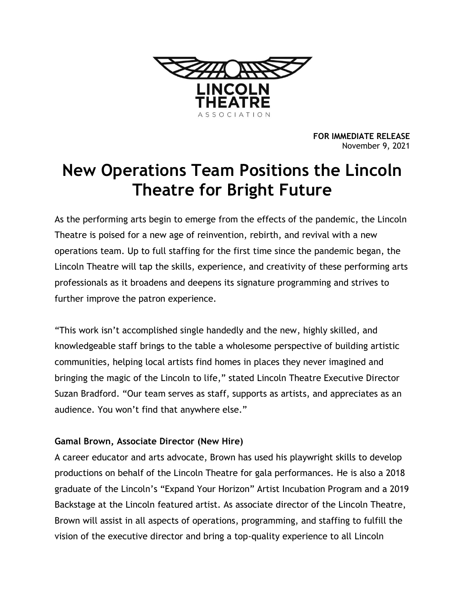

**FOR IMMEDIATE RELEASE** November 9, 2021

# **New Operations Team Positions the Lincoln Theatre for Bright Future**

As the performing arts begin to emerge from the effects of the pandemic, the Lincoln Theatre is poised for a new age of reinvention, rebirth, and revival with a new operations team. Up to full staffing for the first time since the pandemic began, the Lincoln Theatre will tap the skills, experience, and creativity of these performing arts professionals as it broadens and deepens its signature programming and strives to further improve the patron experience.

"This work isn't accomplished single handedly and the new, highly skilled, and knowledgeable staff brings to the table a wholesome perspective of building artistic communities, helping local artists find homes in places they never imagined and bringing the magic of the Lincoln to life," stated Lincoln Theatre Executive Director Suzan Bradford. "Our team serves as staff, supports as artists, and appreciates as an audience. You won't find that anywhere else."

## **Gamal Brown, Associate Director (New Hire)**

A career educator and arts advocate, Brown has used his playwright skills to develop productions on behalf of the Lincoln Theatre for gala performances. He is also a 2018 graduate of the Lincoln's "Expand Your Horizon" Artist Incubation Program and a 2019 Backstage at the Lincoln featured artist. As associate director of the Lincoln Theatre, Brown will assist in all aspects of operations, programming, and staffing to fulfill the vision of the executive director and bring a top-quality experience to all Lincoln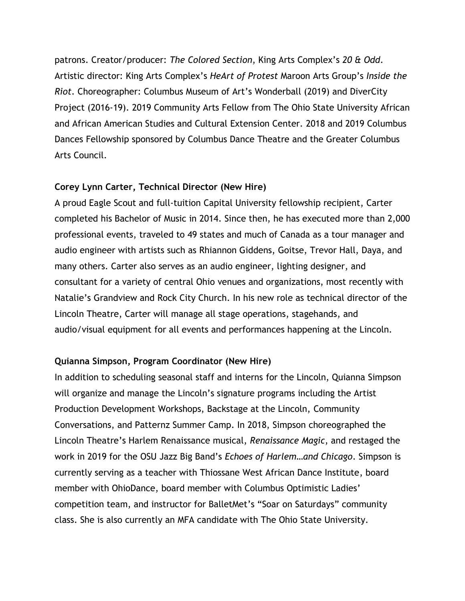patrons. Creator/producer: *The Colored Section*, King Arts Complex's *20 & Odd*. Artistic director: King Arts Complex's *HeArt of Protest* Maroon Arts Group's *Inside the Riot*. Choreographer: Columbus Museum of Art's Wonderball (2019) and DiverCity Project (2016-19). 2019 Community Arts Fellow from The Ohio State University African and African American Studies and Cultural Extension Center. 2018 and 2019 Columbus Dances Fellowship sponsored by Columbus Dance Theatre and the Greater Columbus Arts Council.

#### **Corey Lynn Carter, Technical Director (New Hire)**

A proud Eagle Scout and full-tuition Capital University fellowship recipient, Carter completed his Bachelor of Music in 2014. Since then, he has executed more than 2,000 professional events, traveled to 49 states and much of Canada as a tour manager and audio engineer with artists such as Rhiannon Giddens, Goitse, Trevor Hall, Daya, and many others. Carter also serves as an audio engineer, lighting designer, and consultant for a variety of central Ohio venues and organizations, most recently with Natalie's Grandview and Rock City Church. In his new role as technical director of the Lincoln Theatre, Carter will manage all stage operations, stagehands, and audio/visual equipment for all events and performances happening at the Lincoln.

### **Quianna Simpson, Program Coordinator (New Hire)**

In addition to scheduling seasonal staff and interns for the Lincoln, Quianna Simpson will organize and manage the Lincoln's signature programs including the Artist Production Development Workshops, Backstage at the Lincoln, Community Conversations, and Patternz Summer Camp. In 2018, Simpson choreographed the Lincoln Theatre's Harlem Renaissance musical, *Renaissance Magic*, and restaged the work in 2019 for the OSU Jazz Big Band's *Echoes of Harlem…and Chicago*. Simpson is currently serving as a teacher with Thiossane West African Dance Institute, board member with OhioDance, board member with Columbus Optimistic Ladies' competition team, and instructor for BalletMet's "Soar on Saturdays" community class. She is also currently an MFA candidate with The Ohio State University.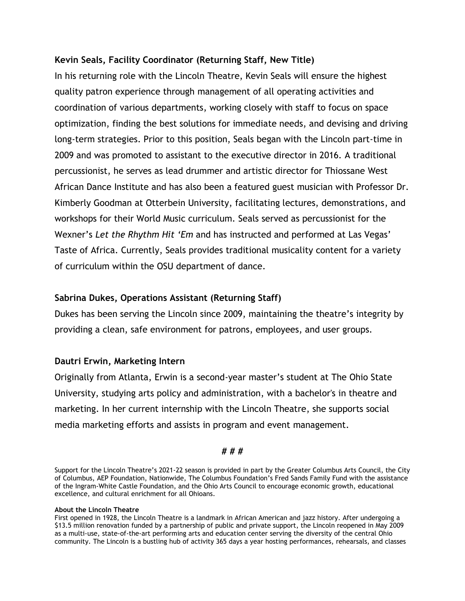#### **Kevin Seals, Facility Coordinator (Returning Staff, New Title)**

In his returning role with the Lincoln Theatre, Kevin Seals will ensure the highest quality patron experience through management of all operating activities and coordination of various departments, working closely with staff to focus on space optimization, finding the best solutions for immediate needs, and devising and driving long-term strategies. Prior to this position, Seals began with the Lincoln part-time in 2009 and was promoted to assistant to the executive director in 2016. A traditional percussionist, he serves as lead drummer and artistic director for Thiossane West African Dance Institute and has also been a featured guest musician with Professor Dr. Kimberly Goodman at Otterbein University, facilitating lectures, demonstrations, and workshops for their World Music curriculum. Seals served as percussionist for the Wexner's *Let the Rhythm Hit 'Em* and has instructed and performed at Las Vegas' Taste of Africa. Currently, Seals provides traditional musicality content for a variety of curriculum within the OSU department of dance.

#### **Sabrina Dukes, Operations Assistant (Returning Staff)**

Dukes has been serving the Lincoln since 2009, maintaining the theatre's integrity by providing a clean, safe environment for patrons, employees, and user groups.

#### **Dautri Erwin, Marketing Intern**

Originally from Atlanta, Erwin is a second-year master's student at The Ohio State University, studying arts policy and administration, with a bachelor's in theatre and marketing. In her current internship with the Lincoln Theatre, she supports social media marketing efforts and assists in program and event management.

#### **# # #**

Support for the Lincoln Theatre's 2021-22 season is provided in part by the Greater Columbus Arts Council, the City of Columbus, AEP Foundation, Nationwide, The Columbus Foundation's Fred Sands Family Fund with the assistance of the Ingram-White Castle Foundation, and the Ohio Arts Council to encourage economic growth, educational excellence, and cultural enrichment for all Ohioans.

#### **About the Lincoln Theatre**

First opened in 1928, the Lincoln Theatre is a landmark in African American and jazz history. After undergoing a \$13.5 million renovation funded by a partnership of public and private support, the Lincoln reopened in May 2009 as a multi-use, state-of-the-art performing arts and education center serving the diversity of the central Ohio community. The Lincoln is a bustling hub of activity 365 days a year hosting performances, rehearsals, and classes